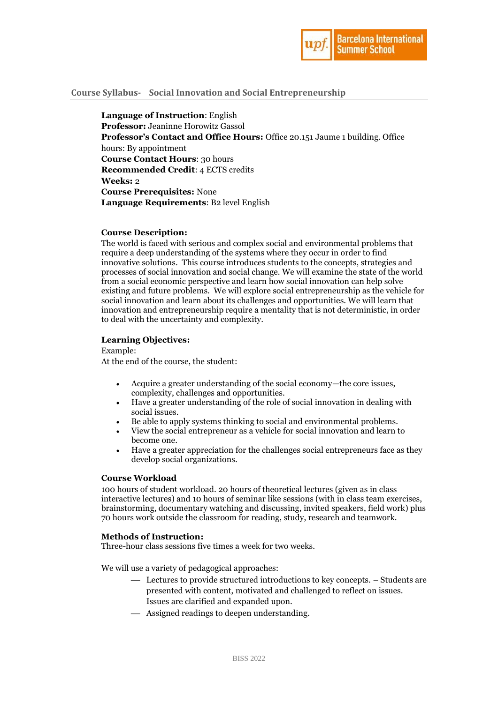

# **Course Syllabus- Social Innovation and Social Entrepreneurship**

**Language of Instruction**: English **Professor:** Jeaninne Horowitz Gassol **Professor's Contact and Office Hours:** Office 20.151 Jaume 1 building. Office hours: By appointment **Course Contact Hours**: 30 hours **Recommended Credit**: 4 ECTS credits **Weeks:** 2 **Course Prerequisites:** None **Language Requirements**: B2 level English

# **Course Description:**

The world is faced with serious and complex social and environmental problems that require a deep understanding of the systems where they occur in order to find innovative solutions. This course introduces students to the concepts, strategies and processes of social innovation and social change. We will examine the state of the world from a social economic perspective and learn how social innovation can help solve existing and future problems. We will explore social entrepreneurship as the vehicle for social innovation and learn about its challenges and opportunities. We will learn that innovation and entrepreneurship require a mentality that is not deterministic, in order to deal with the uncertainty and complexity.

#### **Learning Objectives:**

Example:

At the end of the course, the student:

- Acquire a greater understanding of the social economy—the core issues, complexity, challenges and opportunities.
- Have a greater understanding of the role of social innovation in dealing with social issues.
- Be able to apply systems thinking to social and environmental problems.
- View the social entrepreneur as a vehicle for social innovation and learn to become one.
- Have a greater appreciation for the challenges social entrepreneurs face as they develop social organizations.

# **Course Workload**

100 hours of student workload. 20 hours of theoretical lectures (given as in class interactive lectures) and 10 hours of seminar like sessions (with in class team exercises, brainstorming, documentary watching and discussing, invited speakers, field work) plus 70 hours work outside the classroom for reading, study, research and teamwork.

#### **Methods of Instruction:**

Three-hour class sessions five times a week for two weeks.

We will use a variety of pedagogical approaches:

- Lectures to provide structured introductions to key concepts. Students are presented with content, motivated and challenged to reflect on issues. Issues are clarified and expanded upon.
- Assigned readings to deepen understanding.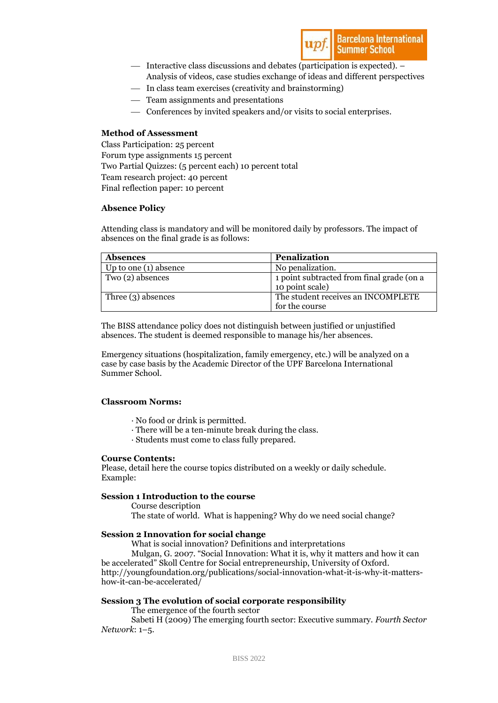

- Interactive class discussions and debates (participation is expected). Analysis of videos, case studies exchange of ideas and different perspectives
- In class team exercises (creativity and brainstorming)
- Team assignments and presentations
- Conferences by invited speakers and/or visits to social enterprises.

# **Method of Assessment**

Class Participation: 25 percent Forum type assignments 15 percent Two Partial Quizzes: (5 percent each) 10 percent total Team research project: 40 percent Final reflection paper: 10 percent

# **Absence Policy**

Attending class is mandatory and will be monitored daily by professors. The impact of absences on the final grade is as follows:

| <b>Absences</b>         | <b>Penalization</b>                                          |
|-------------------------|--------------------------------------------------------------|
| Up to one $(1)$ absence | No penalization.                                             |
| Two (2) absences        | 1 point subtracted from final grade (on a<br>10 point scale) |
| Three $(3)$ absences    | The student receives an INCOMPLETE<br>for the course         |

The BISS attendance policy does not distinguish between justified or unjustified absences. The student is deemed responsible to manage his/her absences.

Emergency situations (hospitalization, family emergency, etc.) will be analyzed on a case by case basis by the Academic Director of the UPF Barcelona International Summer School.

# **Classroom Norms:**

- · No food or drink is permitted.
- · There will be a ten-minute break during the class.
- · Students must come to class fully prepared.

#### **Course Contents:**

Please, detail here the course topics distributed on a weekly or daily schedule. Example:

# **Session 1 Introduction to the course**

Course description

The state of world. What is happening? Why do we need social change?

# **Session 2 Innovation for social change**

What is social innovation? Definitions and interpretations

Mulgan, G. 2007. "Social Innovation: What it is, why it matters and how it can be accelerated" Skoll Centre for Social entrepreneurship, University of Oxford. [http://youngfoundation.org/publications/social-innovation-what-it-is-why-it-matters](http://youngfoundation.org/publications/social-innovation-what-it-is-why-it-matters-how-it-can-be-accelerated/)[how-it-can-be-accelerated/](http://youngfoundation.org/publications/social-innovation-what-it-is-why-it-matters-how-it-can-be-accelerated/)

# **Session 3 The evolution of social corporate responsibility**

The emergence of the fourth sector

Sabeti H (2009) The emerging fourth sector: Executive summary. *Fourth Sector Network*: 1–5.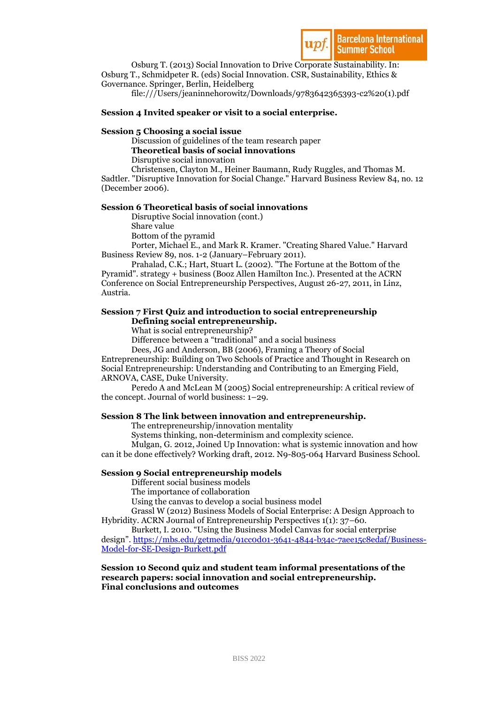

Osburg T. (2013) Social Innovation to Drive Corporate Sustainability. In: Osburg T., Schmidpeter R. (eds) Social Innovation. CSR, Sustainability, Ethics & Governance. Springer, Berlin, Heidelberg

file:///Users/jeaninnehorowitz/Downloads/9783642365393-c2%20(1).pdf

# **Session 4 Invited speaker or visit to a social enterprise.**

# **Session 5 Choosing a social issue**

Discussion of guidelines of the team research paper

**Theoretical basis of social innovations**

Disruptive social innovation

Christensen, Clayton M., Heiner Baumann, Rudy Ruggles, and Thomas M. Sadtler. "Disruptive Innovation for Social Change." Harvard Business Review 84, no. 12  $(December 2006).$ 

# **Session 6 Theoretical basis of social innovations**

Disruptive Social innovation (cont.) Share value

Bottom of the pyramid

Porter, Michael E., and Mark R. Kramer. "Creating Shared Value." Harvard Business Review 89, nos. 1-2 (January–February 2011).

Prahalad, C.K.; Hart, Stuart L. (2002). "The Fortune at the Bottom of the Pyramid". strategy + business (Booz Allen Hamilton Inc.). Presented at the ACRN Conference on Social Entrepreneurship Perspectives, August 26-27, 2011, in Linz, Austria.

# **Session 7 First Quiz and introduction to social entrepreneurship Defining social entrepreneurship.**

What is social entrepreneurship?

Difference between a "traditional" and a social business

Dees, JG and Anderson, BB (2006), Framing a Theory of Social

Entrepreneurship: Building on Two Schools of Practice and Thought in Research on Social Entrepreneurship: Understanding and Contributing to an Emerging Field, ARNOVA, CASE, Duke University.

Peredo A and McLean M (2005) Social entrepreneurship: A critical review of the concept. Journal of world business: 1–29.

# **Session 8 The link between innovation and entrepreneurship.**

The entrepreneurship/innovation mentality

Systems thinking, non-determinism and complexity science.

Mulgan, G. 2012, Joined Up Innovation: what is systemic innovation and how can it be done effectively? Working draft, 2012. N9-805-064 Harvard Business School.

# **Session 9 Social entrepreneurship models**

Different social business models

The importance of collaboration

Using the canvas to develop a social business model

Grassl W (2012) Business Models of Social Enterprise: A Design Approach to Hybridity. ACRN Journal of Entrepreneurship Perspectives 1(1): 37–60.

Burkett, I. 2010. "Using the Business Model Canvas for social enterprise design". [https://mbs.edu/getmedia/91cc0d01-3641-4844-b34c-7aee15c8edaf/Business-](https://mbs.edu/getmedia/91cc0d01-3641-4844-b34c-7aee15c8edaf/Business-Model-for-SE-Design-Burkett.pdf)[Model-for-SE-Design-Burkett.pdf](https://mbs.edu/getmedia/91cc0d01-3641-4844-b34c-7aee15c8edaf/Business-Model-for-SE-Design-Burkett.pdf)

# **Session 10 Second quiz and student team informal presentations of the research papers: social innovation and social entrepreneurship. Final conclusions and outcomes**